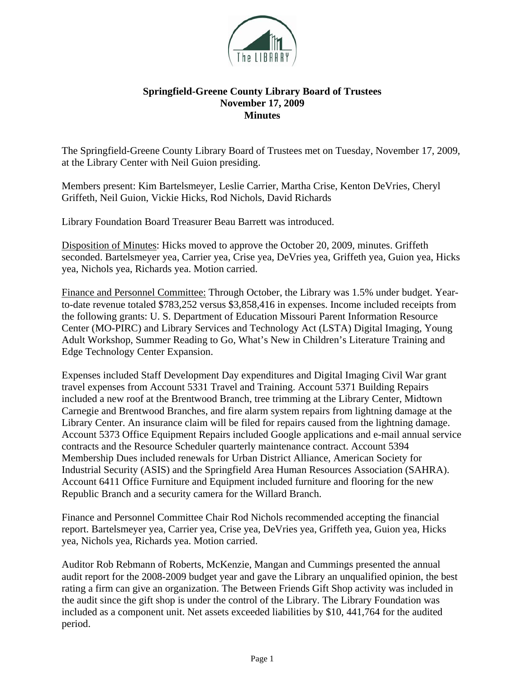

## **Springfield-Greene County Library Board of Trustees November 17, 2009 Minutes**

The Springfield-Greene County Library Board of Trustees met on Tuesday, November 17, 2009, at the Library Center with Neil Guion presiding.

Members present: Kim Bartelsmeyer, Leslie Carrier, Martha Crise, Kenton DeVries, Cheryl Griffeth, Neil Guion, Vickie Hicks, Rod Nichols, David Richards

Library Foundation Board Treasurer Beau Barrett was introduced.

Disposition of Minutes: Hicks moved to approve the October 20, 2009, minutes. Griffeth seconded. Bartelsmeyer yea, Carrier yea, Crise yea, DeVries yea, Griffeth yea, Guion yea, Hicks yea, Nichols yea, Richards yea. Motion carried.

Finance and Personnel Committee: Through October, the Library was 1.5% under budget. Yearto-date revenue totaled \$783,252 versus \$3,858,416 in expenses. Income included receipts from the following grants: U. S. Department of Education Missouri Parent Information Resource Center (MO-PIRC) and Library Services and Technology Act (LSTA) Digital Imaging, Young Adult Workshop, Summer Reading to Go, What's New in Children's Literature Training and Edge Technology Center Expansion.

Expenses included Staff Development Day expenditures and Digital Imaging Civil War grant travel expenses from Account 5331 Travel and Training. Account 5371 Building Repairs included a new roof at the Brentwood Branch, tree trimming at the Library Center, Midtown Carnegie and Brentwood Branches, and fire alarm system repairs from lightning damage at the Library Center. An insurance claim will be filed for repairs caused from the lightning damage. Account 5373 Office Equipment Repairs included Google applications and e-mail annual service contracts and the Resource Scheduler quarterly maintenance contract. Account 5394 Membership Dues included renewals for Urban District Alliance, American Society for Industrial Security (ASIS) and the Springfield Area Human Resources Association (SAHRA). Account 6411 Office Furniture and Equipment included furniture and flooring for the new Republic Branch and a security camera for the Willard Branch.

Finance and Personnel Committee Chair Rod Nichols recommended accepting the financial report. Bartelsmeyer yea, Carrier yea, Crise yea, DeVries yea, Griffeth yea, Guion yea, Hicks yea, Nichols yea, Richards yea. Motion carried.

Auditor Rob Rebmann of Roberts, McKenzie, Mangan and Cummings presented the annual audit report for the 2008-2009 budget year and gave the Library an unqualified opinion, the best rating a firm can give an organization. The Between Friends Gift Shop activity was included in the audit since the gift shop is under the control of the Library. The Library Foundation was included as a component unit. Net assets exceeded liabilities by \$10, 441,764 for the audited period.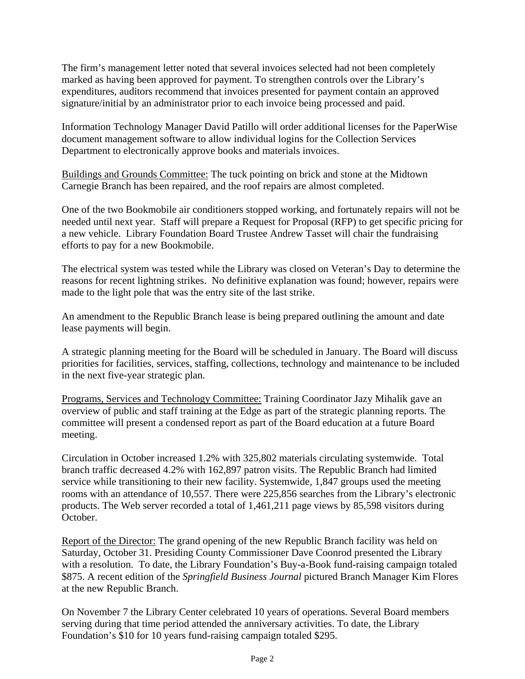The firm's management letter noted that several invoices selected had not been completely marked as having been approved for payment. To strengthen controls over the Library's expenditures, auditors recommend that invoices presented for payment contain an approved signature/initial by an administrator prior to each invoice being processed and paid.

Information Technology Manager David Patillo will order additional licenses for the PaperWise document management software to allow individual logins for the Collection Services Department to electronically approve books and materials invoices.

Buildings and Grounds Committee: The tuck pointing on brick and stone at the Midtown Carnegie Branch has been repaired, and the roof repairs are almost completed.

One of the two Bookmobile air conditioners stopped working, and fortunately repairs will not be needed until next year. Staff will prepare a Request for Proposal (RFP) to get specific pricing for a new vehicle. Library Foundation Board Trustee Andrew Tasset will chair the fundraising efforts to pay for a new Bookmobile.

The electrical system was tested while the Library was closed on Veteran's Day to determine the reasons for recent lightning strikes. No definitive explanation was found; however, repairs were made to the light pole that was the entry site of the last strike.

An amendment to the Republic Branch lease is being prepared outlining the amount and date lease payments will begin.

A strategic planning meeting for the Board will be scheduled in January. The Board will discuss priorities for facilities, services, staffing, collections, technology and maintenance to be included in the next five-year strategic plan.

Programs, Services and Technology Committee: Training Coordinator Jazy Mihalik gave an overview of public and staff training at the Edge as part of the strategic planning reports. The committee will present a condensed report as part of the Board education at a future Board meeting.

Circulation in October increased 1.2% with 325,802 materials circulating systemwide. Total branch traffic decreased 4.2% with 162,897 patron visits. The Republic Branch had limited service while transitioning to their new facility. Systemwide, 1,847 groups used the meeting rooms with an attendance of 10,557. There were 225,856 searches from the Library's electronic products. The Web server recorded a total of 1,461,211 page views by 85,598 visitors during October.

Report of the Director: The grand opening of the new Republic Branch facility was held on Saturday, October 31. Presiding County Commissioner Dave Coonrod presented the Library with a resolution. To date, the Library Foundation's Buy-a-Book fund-raising campaign totaled \$875. A recent edition of the *Springfield Business Journal* pictured Branch Manager Kim Flores at the new Republic Branch.

On November 7 the Library Center celebrated 10 years of operations. Several Board members serving during that time period attended the anniversary activities. To date, the Library Foundation's \$10 for 10 years fund-raising campaign totaled \$295.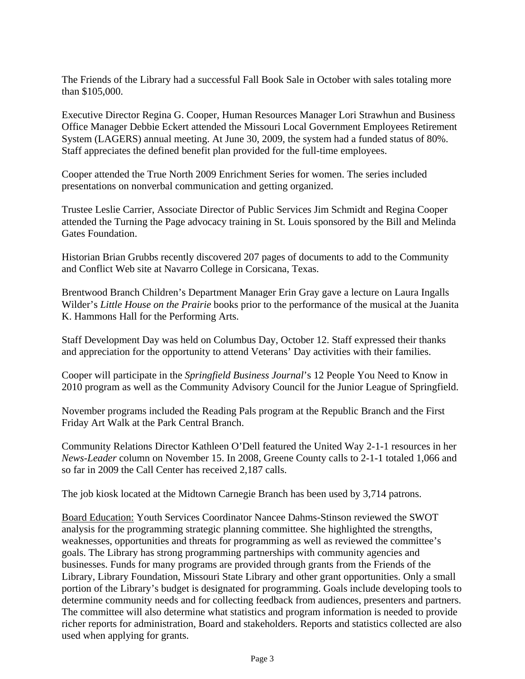The Friends of the Library had a successful Fall Book Sale in October with sales totaling more than \$105,000.

Executive Director Regina G. Cooper, Human Resources Manager Lori Strawhun and Business Office Manager Debbie Eckert attended the Missouri Local Government Employees Retirement System (LAGERS) annual meeting. At June 30, 2009, the system had a funded status of 80%. Staff appreciates the defined benefit plan provided for the full-time employees.

Cooper attended the True North 2009 Enrichment Series for women. The series included presentations on nonverbal communication and getting organized.

Trustee Leslie Carrier, Associate Director of Public Services Jim Schmidt and Regina Cooper attended the Turning the Page advocacy training in St. Louis sponsored by the Bill and Melinda Gates Foundation.

Historian Brian Grubbs recently discovered 207 pages of documents to add to the Community and Conflict Web site at Navarro College in Corsicana, Texas.

Brentwood Branch Children's Department Manager Erin Gray gave a lecture on Laura Ingalls Wilder's *Little House on the Prairie* books prior to the performance of the musical at the Juanita K. Hammons Hall for the Performing Arts.

Staff Development Day was held on Columbus Day, October 12. Staff expressed their thanks and appreciation for the opportunity to attend Veterans' Day activities with their families.

Cooper will participate in the *Springfield Business Journal*'s 12 People You Need to Know in 2010 program as well as the Community Advisory Council for the Junior League of Springfield.

November programs included the Reading Pals program at the Republic Branch and the First Friday Art Walk at the Park Central Branch.

Community Relations Director Kathleen O'Dell featured the United Way 2-1-1 resources in her *News-Leader* column on November 15. In 2008, Greene County calls to 2-1-1 totaled 1,066 and so far in 2009 the Call Center has received 2,187 calls.

The job kiosk located at the Midtown Carnegie Branch has been used by 3,714 patrons.

Board Education: Youth Services Coordinator Nancee Dahms-Stinson reviewed the SWOT analysis for the programming strategic planning committee. She highlighted the strengths, weaknesses, opportunities and threats for programming as well as reviewed the committee's goals. The Library has strong programming partnerships with community agencies and businesses. Funds for many programs are provided through grants from the Friends of the Library, Library Foundation, Missouri State Library and other grant opportunities. Only a small portion of the Library's budget is designated for programming. Goals include developing tools to determine community needs and for collecting feedback from audiences, presenters and partners. The committee will also determine what statistics and program information is needed to provide richer reports for administration, Board and stakeholders. Reports and statistics collected are also used when applying for grants.